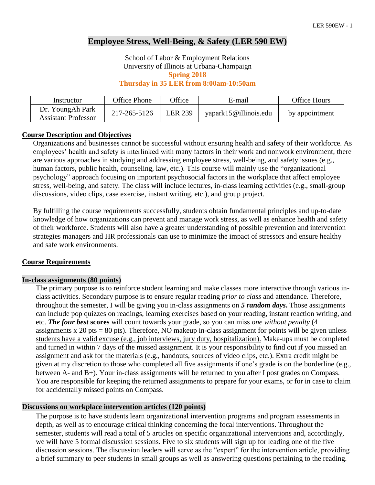# **Employee Stress, Well-Being, & Safety (LER 590 EW)**

School of Labor & Employment Relations University of Illinois at Urbana-Champaign **Spring 2018**

**Thursday in 35 LER from 8:00am-10:50am**

| Instructor                                     | Office Phone | <b>Office</b>  | E-mail                | <b>Office Hours</b> |
|------------------------------------------------|--------------|----------------|-----------------------|---------------------|
| Dr. YoungAh Park<br><b>Assistant Professor</b> | 217-265-5126 | <b>LER 239</b> | yapark15@illinois.edu | by appointment      |

#### **Course Description and Objectives**

Organizations and businesses cannot be successful without ensuring health and safety of their workforce. As employees' health and safety is interlinked with many factors in their work and nonwork environment, there are various approaches in studying and addressing employee stress, well-being, and safety issues (e.g., human factors, public health, counseling, law, etc.). This course will mainly use the "organizational psychology" approach focusing on important psychosocial factors in the workplace that affect employee stress, well-being, and safety. The class will include lectures, in-class learning activities (e.g., small-group discussions, video clips, case exercise, instant writing, etc.), and group project.

By fulfilling the course requirements successfully, students obtain fundamental principles and up-to-date knowledge of how organizations can prevent and manage work stress, as well as enhance health and safety of their workforce. Students will also have a greater understanding of possible prevention and intervention strategies managers and HR professionals can use to minimize the impact of stressors and ensure healthy and safe work environments.

#### **Course Requirements**

#### **In-class assignments (80 points)**

The primary purpose is to reinforce student learning and make classes more interactive through various inclass activities. Secondary purpose is to ensure regular reading *prior to class* and attendance. Therefore, throughout the semester, I will be giving you in-class assignments on *5 random days***.** Those assignments can include pop quizzes on readings, learning exercises based on your reading, instant reaction writing, and etc. *The four best* **scores** will count towards your grade, so you can miss *one without penalty* (4 assignments x 20 pts = 80 pts). Therefore, NO makeup in-class assignment for points will be given unless students have a valid excuse (e.g., job interviews, jury duty, hospitalization). Make-ups must be completed and turned in within 7 days of the missed assignment. It is your responsibility to find out if you missed an assignment and ask for the materials (e.g., handouts, sources of video clips, etc.). Extra credit might be given at my discretion to those who completed all five assignments if one's grade is on the borderline (e.g., between A- and B+). Your in-class assignments will be returned to you after I post grades on Compass. You are responsible for keeping the returned assignments to prepare for your exams, or for in case to claim for accidentally missed points on Compass.

#### **Discussions on workplace intervention articles (120 points)**

The purpose is to have students learn organizational intervention programs and program assessments in depth, as well as to encourage critical thinking concerning the focal interventions. Throughout the semester, students will read a total of 5 articles on specific organizational interventions and, accordingly, we will have 5 formal discussion sessions. Five to six students will sign up for leading one of the five discussion sessions. The discussion leaders will serve as the "expert" for the intervention article, providing a brief summary to peer students in small groups as well as answering questions pertaining to the reading.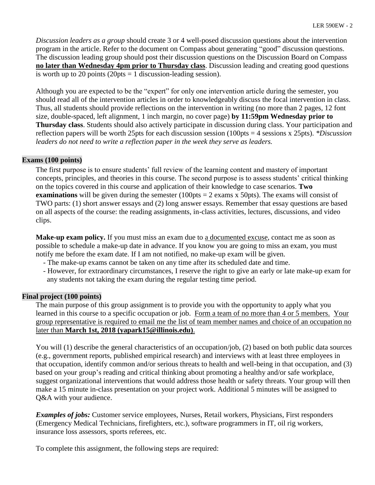*Discussion leaders as a group* should create 3 or 4 well-posed discussion questions about the intervention program in the article. Refer to the document on Compass about generating "good" discussion questions. The discussion leading group should post their discussion questions on the Discussion Board on Compass **no later than Wednesday 4pm prior to Thursday class**. Discussion leading and creating good questions is worth up to 20 points (20pts = 1 discussion-leading session).

Although you are expected to be the "expert" for only one intervention article during the semester, you should read all of the intervention articles in order to knowledgeably discuss the focal intervention in class. Thus, all students should provide reflections on the intervention in writing (no more than 2 pages, 12 font size, double-spaced, left alignment, 1 inch margin, no cover page) **by 11:59pm Wednesday prior to Thursday class**. Students should also actively participate in discussion during class. Your participation and reflection papers will be worth 25pts for each discussion session (100pts = 4 sessions x 25pts). *\*Discussion leaders do not need to write a reflection paper in the week they serve as leaders.* 

### **Exams (100 points)**

The first purpose is to ensure students' full review of the learning content and mastery of important concepts, principles, and theories in this course. The second purpose is to assess students' critical thinking on the topics covered in this course and application of their knowledge to case scenarios. **Two examinations** will be given during the semester  $(100pts = 2 \text{ exams x } 50pts)$ . The exams will consist of TWO parts: (1) short answer essays and (2) long answer essays. Remember that essay questions are based on all aspects of the course: the reading assignments, in-class activities, lectures, discussions, and video clips.

**Make-up exam policy.** If you must miss an exam due to a documented excuse, contact me as soon as possible to schedule a make-up date in advance. If you know you are going to miss an exam, you must notify me before the exam date. If I am not notified, no make-up exam will be given.

- The make-up exams cannot be taken on any time after its scheduled date and time.
- However, for extraordinary circumstances, I reserve the right to give an early or late make-up exam for any students not taking the exam during the regular testing time period.

### **Final project (100 points)**

The main purpose of this group assignment is to provide you with the opportunity to apply what you learned in this course to a specific occupation or job. Form a team of no more than 4 or 5 members. Your group representative is required to email me the list of team member names and choice of an occupation no later than **March 1st, 2018 (yapark15@illinois.edu)**.

You will (1) describe the general characteristics of an occupation/job, (2) based on both public data sources (e.g., government reports, published empirical research) and interviews with at least three employees in that occupation, identify common and/or serious threats to health and well-being in that occupation, and (3) based on your group's reading and critical thinking about promoting a healthy and/or safe workplace, suggest organizational interventions that would address those health or safety threats. Your group will then make a 15 minute in-class presentation on your project work. Additional 5 minutes will be assigned to Q&A with your audience.

*Examples of jobs:* Customer service employees, Nurses, Retail workers, Physicians, First responders (Emergency Medical Technicians, firefighters, etc.), software programmers in IT, oil rig workers, insurance loss assessors, sports referees, etc.

To complete this assignment, the following steps are required: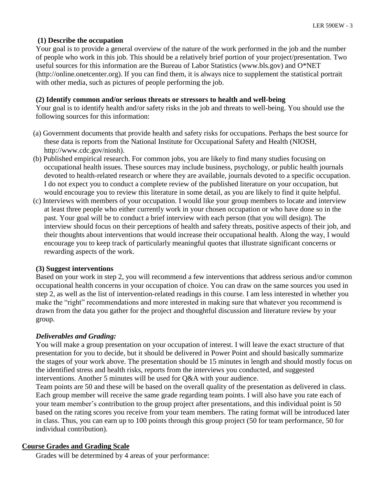# **(1) Describe the occupation**

Your goal is to provide a general overview of the nature of the work performed in the job and the number of people who work in this job. This should be a relatively brief portion of your project/presentation. Two useful sources for this information are the Bureau of Labor Statistics (www.bls.gov) and O\*NET (http://online.onetcenter.org). If you can find them, it is always nice to supplement the statistical portrait with other media, such as pictures of people performing the job.

### **(2) Identify common and/or serious threats or stressors to health and well-being**

Your goal is to identify health and/or safety risks in the job and threats to well-being. You should use the following sources for this information:

- (a) Government documents that provide health and safety risks for occupations. Perhaps the best source for these data is reports from the National Institute for Occupational Safety and Health (NIOSH, http://www.cdc.gov/niosh).
- (b) Published empirical research. For common jobs, you are likely to find many studies focusing on occupational health issues. These sources may include business, psychology, or public health journals devoted to health-related research or where they are available, journals devoted to a specific occupation. I do not expect you to conduct a complete review of the published literature on your occupation, but would encourage you to review this literature in some detail, as you are likely to find it quite helpful.
- (c) Interviews with members of your occupation. I would like your group members to locate and interview at least three people who either currently work in your chosen occupation or who have done so in the past. Your goal will be to conduct a brief interview with each person (that you will design). The interview should focus on their perceptions of health and safety threats, positive aspects of their job, and their thoughts about interventions that would increase their occupational health. Along the way, I would encourage you to keep track of particularly meaningful quotes that illustrate significant concerns or rewarding aspects of the work.

### **(3) Suggest interventions**

Based on your work in step 2, you will recommend a few interventions that address serious and/or common occupational health concerns in your occupation of choice. You can draw on the same sources you used in step 2, as well as the list of intervention-related readings in this course. I am less interested in whether you make the "right" recommendations and more interested in making sure that whatever you recommend is drawn from the data you gather for the project and thoughtful discussion and literature review by your group.

### *Deliverables and Grading:*

You will make a group presentation on your occupation of interest. I will leave the exact structure of that presentation for you to decide, but it should be delivered in Power Point and should basically summarize the stages of your work above. The presentation should be 15 minutes in length and should mostly focus on the identified stress and health risks, reports from the interviews you conducted, and suggested interventions. Another 5 minutes will be used for Q&A with your audience.

Team points are 50 and these will be based on the overall quality of the presentation as delivered in class. Each group member will receive the same grade regarding team points. I will also have you rate each of your team member's contribution to the group project after presentations, and this individual point is 50 based on the rating scores you receive from your team members. The rating format will be introduced later in class. Thus, you can earn up to 100 points through this group project (50 for team performance, 50 for individual contribution).

## **Course Grades and Grading Scale**

Grades will be determined by 4 areas of your performance: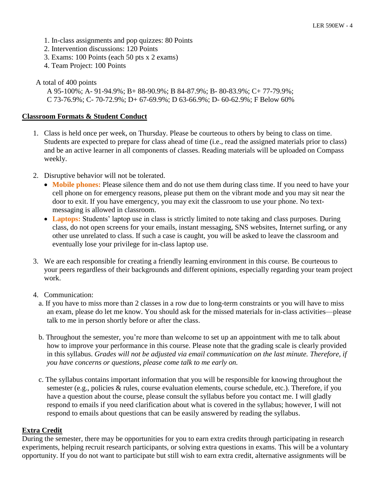- 1. In-class assignments and pop quizzes: 80 Points
- 2. Intervention discussions: 120 Points
- 3. Exams: 100 Points (each 50 pts x 2 exams)
- 4. Team Project: 100 Points

# A total of 400 points

A 95-100%; A- 91-94.9%; B+ 88-90.9%; B 84-87.9%; B- 80-83.9%; C+ 77-79.9%; C 73-76.9%; C- 70-72.9%; D+ 67-69.9%; D 63-66.9%; D- 60-62.9%; F Below 60%

## **Classroom Formats & Student Conduct**

- 1. Class is held once per week, on Thursday. Please be courteous to others by being to class on time. Students are expected to prepare for class ahead of time (i.e., read the assigned materials prior to class) and be an active learner in all components of classes. Reading materials will be uploaded on Compass weekly.
- 2. Disruptive behavior will not be tolerated.
	- Mobile phones: Please silence them and do not use them during class time. If you need to have your cell phone on for emergency reasons, please put them on the vibrant mode and you may sit near the door to exit. If you have emergency, you may exit the classroom to use your phone. No textmessaging is allowed in classroom.
	- Laptops: Students' laptop use in class is strictly limited to note taking and class purposes. During class, do not open screens for your emails, instant messaging, SNS websites, Internet surfing, or any other use unrelated to class. If such a case is caught, you will be asked to leave the classroom and eventually lose your privilege for in-class laptop use.
- 3. We are each responsible for creating a friendly learning environment in this course. Be courteous to your peers regardless of their backgrounds and different opinions, especially regarding your team project work.
- 4. Communication:
	- a. If you have to miss more than 2 classes in a row due to long-term constraints or you will have to miss an exam, please do let me know. You should ask for the missed materials for in-class activities—please talk to me in person shortly before or after the class.
	- b. Throughout the semester, you're more than welcome to set up an appointment with me to talk about how to improve your performance in this course. Please note that the grading scale is clearly provided in this syllabus. *Grades will not be adjusted via email communication on the last minute. Therefore, if you have concerns or questions, please come talk to me early on.*
	- c. The syllabus contains important information that you will be responsible for knowing throughout the semester (e.g., policies & rules, course evaluation elements, course schedule, etc.). Therefore, if you have a question about the course, please consult the syllabus before you contact me. I will gladly respond to emails if you need clarification about what is covered in the syllabus; however, I will not respond to emails about questions that can be easily answered by reading the syllabus.

## **Extra Credit**

During the semester, there may be opportunities for you to earn extra credits through participating in research experiments, helping recruit research participants, or solving extra questions in exams. This will be a voluntary opportunity. If you do not want to participate but still wish to earn extra credit, alternative assignments will be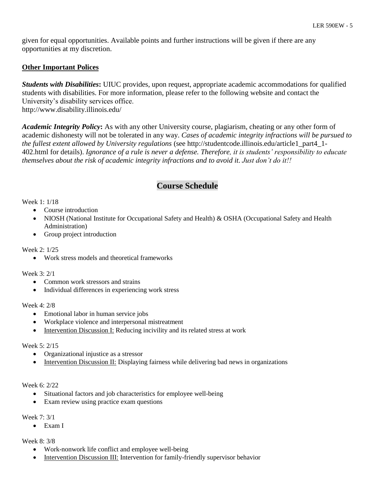given for equal opportunities. Available points and further instructions will be given if there are any opportunities at my discretion.

# **Other Important Polices**

*Students with Disabilities***:** UIUC provides, upon request, appropriate academic accommodations for qualified students with disabilities. For more information, please refer to the following website and contact the University's disability services office. http://www.disability.illinois.edu/

*Academic Integrity Policy***:** As with any other University course, plagiarism, cheating or any other form of academic dishonesty will not be tolerated in any way. *Cases of academic integrity infractions will be pursued to the fullest extent allowed by University regulations* (see http://studentcode.illinois.edu/article1\_part4\_1- 402.html for details). *Ignorance of a rule is never a defense. Therefore, it is students' responsibility to educate themselves about the risk of academic integrity infractions and to avoid it. Just don't do it!!*

# **Course Schedule**

### Week 1: 1/18

- Course introduction
- NIOSH (National Institute for Occupational Safety and Health) & OSHA (Occupational Safety and Health Administration)
- Group project introduction

### Week 2: 1/25

Work stress models and theoretical frameworks

### Week 3: 2/1

- Common work stressors and strains
- Individual differences in experiencing work stress

### Week 4: 2/8

- Emotional labor in human service jobs
- Workplace violence and interpersonal mistreatment
- Intervention Discussion I: Reducing incivility and its related stress at work

### Week 5: 2/15

- Organizational injustice as a stressor
- Intervention Discussion II: Displaying fairness while delivering bad news in organizations

### Week 6: 2/22

- Situational factors and job characteristics for employee well-being
- Exam review using practice exam questions

### Week 7: 3/1

Exam I

### Week 8: 3/8

- Work-nonwork life conflict and employee well-being
- Intervention Discussion III: Intervention for family-friendly supervisor behavior